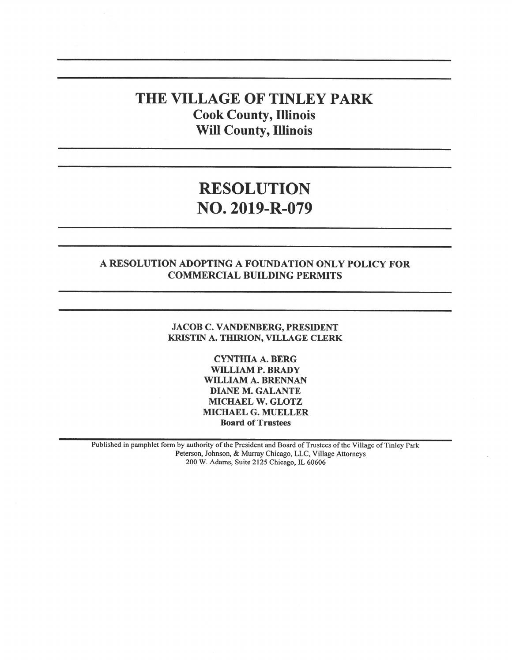# THE VILLAGE OF TINLEY PARK Cook County, Illinois Will County, Illinois

# RESOLUTION NO. 2019-R-079

# A RESOLUTION ADOPTING A FOUNDATION ONLY POLICY FOR COMMERCIAL BUILDING PERMITS

#### JACOB C. VANDENBERG, PRESIDENT KRISTIN A. THIRION, VILLAGE CLERK

CYNTHIA A. BERG WILLIAM P. BRADY WILLIAM A. BRENNAN DIANE M. GALANTE MICHAEL W. GLOTZ MICHAEL G. MUELLER Board of Trustees

Published in pamphlet form by authority of the President and Board of Trustees of the Village of Tinley Park Peterson, Johnson, & Murray Chicago, LLC, Village Attorneys 200 W. Adams, Suite 2125 Chicago, IL 60606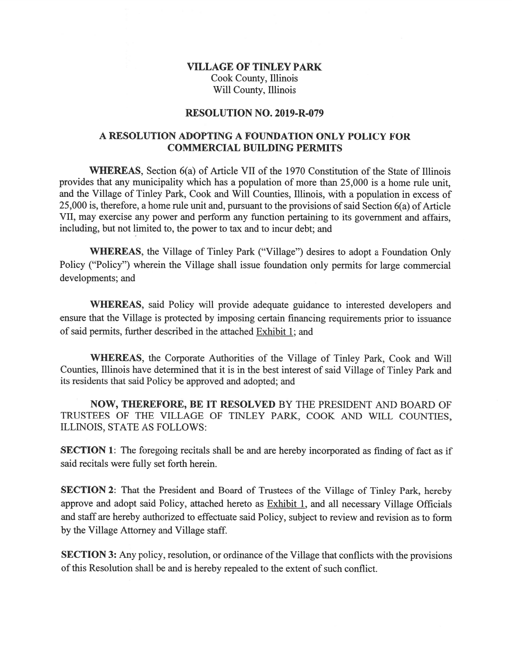## VILLAGE OF TINLEY PARK Cook County, Illinois Will County, Illinois

#### RESOLUTION NO. 2019-R-079

#### A RESOLUTION ADOPTING A FOUNDATION ONLY POLICY FOR COMMERCIAL BUILDING PERMITS

WHEREAS, Section 6(a) of Article VII of the 1970 Constitution of the State of Illinois provides that any municipality which has <sup>a</sup> population of more than 25,000 is <sup>a</sup> home rule unit, and the Village of Tinley Park, Cook and Will Counties, Illinois, with <sup>a</sup> population in excess of 25,000 is, therefore, a home rule unit and, pursuant to the provisions of said Section  $6(a)$  of Article VII, may exercise any power and perform any function pertaining to its governmen<sup>t</sup> and affairs, including, but not limited to, the power to tax and to incur debt; and

WHEREAS, the Village of Tinley Park ("Village") desires to adopt <sup>a</sup> Foundation Only Policy ("Policy") wherein the Village shall issue foundation only permits for large commercial developments; and

WHEREAS, said Policy will provide adequate guidance to interested developers and ensure that the Village is protected by imposing certain financing requirements prior to issuance of said permits, further described in the attached Exhibit 1; and

WHEREAS, the Corporate Authorities of the Village of Tinley Park, Cook and Will Counties, Illinois have determined that it is in the best interest of said Village of Tinley Park and its residents that said Policy be approved and adopted; and

NOW, THEREFORE, BE IT RESOLVED BY THE PRESIDENT AND BOARD OF TRUSTEES OF THE VILLAGE OF TINLEY PARK, COOK AND WILL COUNTIES, ILLiNOIS, STATE AS FOLLOWS:

SECTION 1: The foregoing recitals shall be and are hereby incorporated as finding of fact as if said recitals were fully set forth herein.

SECTION 2: That the President and Board of Trustees of the Village of Tinley Park, hereby approve and adopt said Policy, attached hereto as Exhibit 1, and all necessary Village Officials and staff are hereby authorized to effectuate said Policy, subject to review and revision as to form by the Village Attorney and Village staff.

SECTION 3: Any policy, resolution, or ordinance of the Village that conflicts with the provisions of this Resolution shall be and is hereby repealed to the extent of such conflict.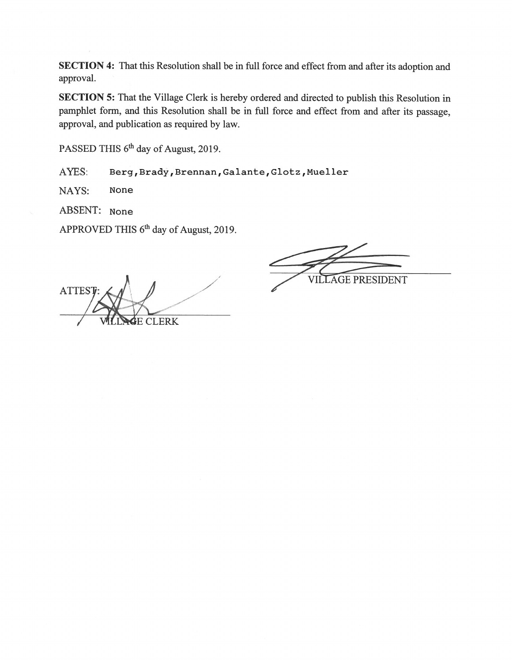SECTION 4: That this Resolution shall be in full force and effect from and after its adoption and approval.

SECTION 5: That the Village Clerk is hereby ordered and directed to publish this Resolution in pamphlet form, and this Resolution shall be in full force and effect from and after its passage, approval, and publication as required by law.

PASSED THIS 6<sup>th</sup> day of August, 2019.

AYES: Berg, Brady, Brennan, Galante, Glotz, Mueller

NAYS: None

ABSENT: None

APPROVED THIS 6<sup>th</sup> day of August, 2019.

**ATTEST CLERK** 

VILLAGE PRESIDENT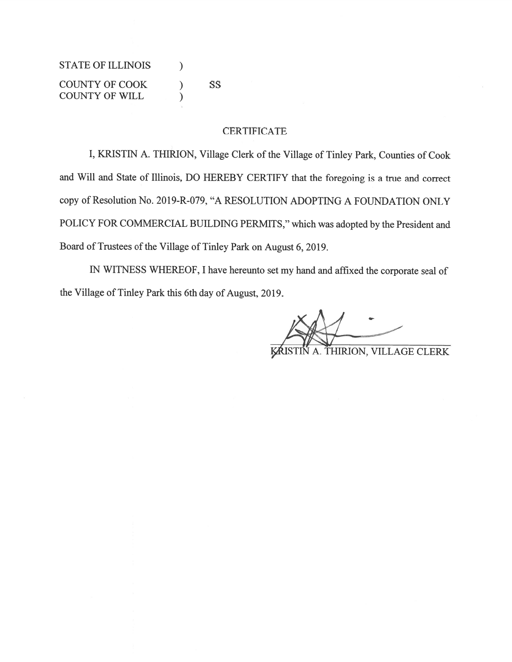STATE OF ILLINOIS  $\qquad$  ) COUNTY OF COOK ) SS COUNTY OF WILL (1)

#### CERTIFICATE

I, KRISTIN A. THIRION, Village Clerk of the Village of Tinley Park, Counties of Cook and Will and State of Illinois, DO HEREBY CERTIFY that the foregoing is <sup>a</sup> true and correct copy of Resolution No. 2019-R-079, "A RESOLUTION ADOPTING A FOUNDATION ONLY POLICY FOR COMMERCIAL BUILDING PERMITS," which was adopted by the President and Board of Trustees of the Village of Tinley Park on August 6, 2019.

IN WITNESS WHEREOF, <sup>I</sup> have hereunto set my hand and affixed the corporate seal of the Village of Tinley Park this 6th day of August, 2019.

THIRION, VILLAGE CLERK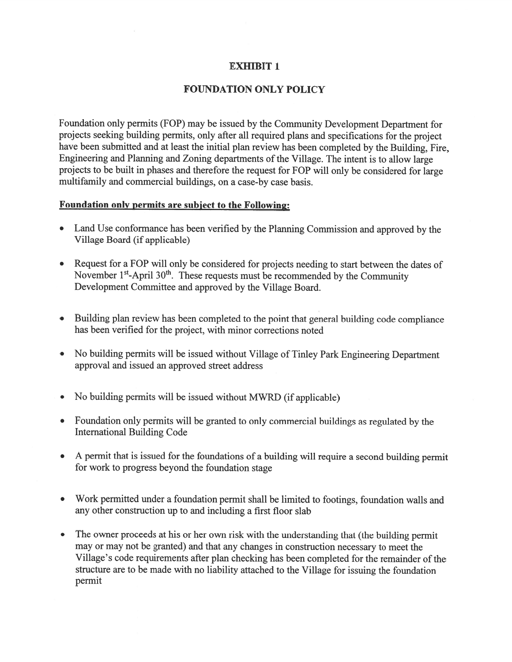## EXHIBIT 1

# FOUNDATION ONLY POLICY

Foundation only permits (FOP) may be issued by the Community Development Department for projects seeking building permits, only after all required <sup>p</sup>lans and specifications for the project have been submitted and at least the initial <sup>p</sup>lan review has been completed by the Building, Fire, Engineering and Planning and Zoning departments of the Village. The intent is to allow large projects to be built in <sup>p</sup>hases and therefore the reques<sup>t</sup> for FOP will only be considered for large multifamily and commercial buildings, on <sup>a</sup> case-by case basis.

#### Foundation only permits are subject to the Following:

- . Land Use conformance has been verified by the Planning Commission and approve<sup>d</sup> by the Village Board (if applicable)
- . Request for <sup>a</sup> FOP will only be considered for projects needing to start between the dates of November 1<sup>st</sup>-April 30<sup>th</sup>. These requests must be recommended by the Community Development Committee and approved by the Village Board.
- . Building <sup>p</sup>lan review has been completed to the point that genera<sup>l</sup> building code compliance has been verified for the project, with minor corrections noted
- . No building permits will be issued without Village of Tinley Park Engineering Department approval and issued an approved street address
- . No building permits will be issued without MWRD (if applicable)
- . Foundation only permits will be granted to only commercial buildings as regulated by the International Building Code
- . <sup>A</sup> permit that is issued for the foundations of <sup>a</sup> building will require <sup>a</sup> second building permit for work to progress beyond the foundation stage
- • Work permitted under <sup>a</sup> foundation permit shall be limited to footings, foundation walls and any other construction up to and including <sup>a</sup> first floor slab
- The owner proceeds at his or her own risk with the understanding that (the building permit may or may not be granted) and that any changes in construction necessary to meet the Village's code requirements after plan checking has been completed for the remainder of the structure are to be made with no liability attached to the Village for issuing the foundation permit